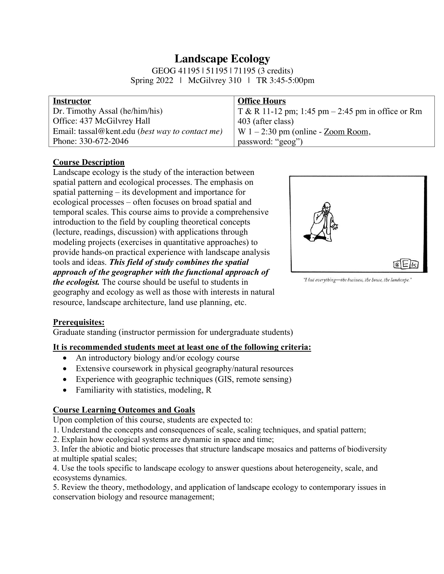# **Landscape Ecology**

GEOG 41195 | 51195 | 71195 (3 credits) Spring 2022 | McGilvrey 310 | TR 3:45-5:00pm

| <b>Instructor</b>                               | <b>Office Hours</b>                                 |
|-------------------------------------------------|-----------------------------------------------------|
| Dr. Timothy Assal (he/him/his)                  | T & R 11-12 pm; 1:45 pm $-$ 2:45 pm in office or Rm |
| Office: 437 McGilvrey Hall                      | 403 (after class)                                   |
| Email: tassal@kent.edu (best way to contact me) | $\vert$ W 1 – 2:30 pm (online - Zoom Room,          |
| Phone: 330-672-2046                             | password: "geog")                                   |

# **Course Description**

Landscape ecology is the study of the interaction between spatial pattern and ecological processes. The emphasis on spatial patterning – its development and importance for ecological processes – often focuses on broad spatial and temporal scales. This course aims to provide a comprehensive introduction to the field by coupling theoretical concepts (lecture, readings, discussion) with applications through modeling projects (exercises in quantitative approaches) to provide hands-on practical experience with landscape analysis tools and ideas. *This field of study combines the spatial approach of the geographer with the functional approach of the ecologist.* The course should be useful to students in geography and ecology as well as those with interests in natural resource, landscape architecture, land use planning, etc.



"I lost everything-the business, the house, the landscape."

# **Prerequisites:**

Graduate standing (instructor permission for undergraduate students)

# **It is recommended students meet at least one of the following criteria:**

- An introductory biology and/or ecology course
- Extensive coursework in physical geography/natural resources
- Experience with geographic techniques (GIS, remote sensing)
- Familiarity with statistics, modeling, R

# **Course Learning Outcomes and Goals**

Upon completion of this course, students are expected to:

- 1. Understand the concepts and consequences of scale, scaling techniques, and spatial pattern;
- 2. Explain how ecological systems are dynamic in space and time;

3. Infer the abiotic and biotic processes that structure landscape mosaics and patterns of biodiversity at multiple spatial scales;

4. Use the tools specific to landscape ecology to answer questions about heterogeneity, scale, and ecosystems dynamics.

5. Review the theory, methodology, and application of landscape ecology to contemporary issues in conservation biology and resource management;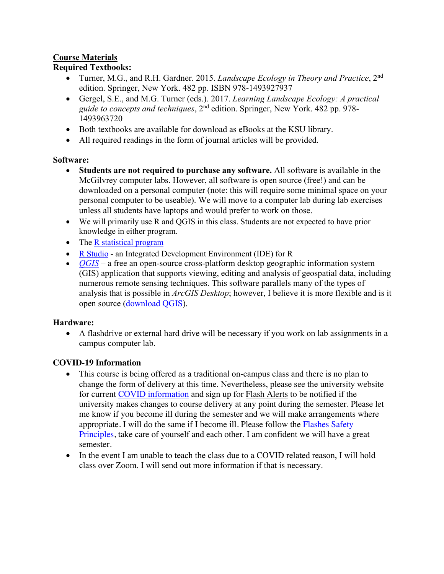# **Course Materials**

# **Required Textbooks:**

- Turner, M.G., and R.H. Gardner. 2015. *Landscape Ecology in Theory and Practice*, 2nd edition. Springer, New York. 482 pp. ISBN 978-1493927937
- Gergel, S.E., and M.G. Turner (eds.). 2017. *Learning Landscape Ecology: A practical guide to concepts and techniques*, 2nd edition. Springer, New York. 482 pp. 978- 1493963720
- Both textbooks are available for download as eBooks at the KSU library.
- All required readings in the form of journal articles will be provided.

# **Software:**

- **Students are not required to purchase any software.** All software is available in the McGilvrey computer labs. However, all software is open source (free!) and can be downloaded on a personal computer (note: this will require some minimal space on your personal computer to be useable). We will move to a computer lab during lab exercises unless all students have laptops and would prefer to work on those.
- We will primarily use R and QGIS in this class. Students are not expected to have prior knowledge in either program.
- The R statistical program
- R Studio an Integrated Development Environment (IDE) for R
- *QGIS* a free an open-source cross-platform desktop geographic information system (GIS) application that supports viewing, editing and analysis of geospatial data, including numerous remote sensing techniques. This software parallels many of the types of analysis that is possible in *ArcGIS Desktop*; however, I believe it is more flexible and is it open source (download QGIS).

# **Hardware:**

• A flashdrive or external hard drive will be necessary if you work on lab assignments in a campus computer lab.

# **COVID-19 Information**

- This course is being offered as a traditional on-campus class and there is no plan to change the form of delivery at this time. Nevertheless, please see the university website for current COVID information and sign up for Flash Alerts to be notified if the university makes changes to course delivery at any point during the semester. Please let me know if you become ill during the semester and we will make arrangements where appropriate. I will do the same if I become ill. Please follow the Flashes Safety Principles, take care of yourself and each other. I am confident we will have a great semester.
- In the event I am unable to teach the class due to a COVID related reason, I will hold class over Zoom. I will send out more information if that is necessary.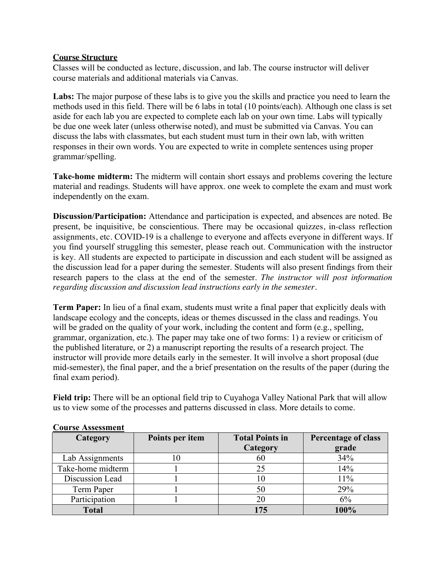# **Course Structure**

Classes will be conducted as lecture, discussion, and lab. The course instructor will deliver course materials and additional materials via Canvas.

**Labs:** The major purpose of these labs is to give you the skills and practice you need to learn the methods used in this field. There will be 6 labs in total (10 points/each). Although one class is set aside for each lab you are expected to complete each lab on your own time. Labs will typically be due one week later (unless otherwise noted), and must be submitted via Canvas. You can discuss the labs with classmates, but each student must turn in their own lab, with written responses in their own words. You are expected to write in complete sentences using proper grammar/spelling.

**Take-home midterm:** The midterm will contain short essays and problems covering the lecture material and readings. Students will have approx. one week to complete the exam and must work independently on the exam.

**Discussion/Participation:** Attendance and participation is expected, and absences are noted. Be present, be inquisitive, be conscientious. There may be occasional quizzes, in-class reflection assignments, etc. COVID-19 is a challenge to everyone and affects everyone in different ways. If you find yourself struggling this semester, please reach out. Communication with the instructor is key. All students are expected to participate in discussion and each student will be assigned as the discussion lead for a paper during the semester. Students will also present findings from their research papers to the class at the end of the semester. *The instructor will post information regarding discussion and discussion lead instructions early in the semester.* 

**Term Paper:** In lieu of a final exam, students must write a final paper that explicitly deals with landscape ecology and the concepts, ideas or themes discussed in the class and readings. You will be graded on the quality of your work, including the content and form (e.g., spelling, grammar, organization, etc.). The paper may take one of two forms: 1) a review or criticism of the published literature, or 2) a manuscript reporting the results of a research project. The instructor will provide more details early in the semester. It will involve a short proposal (due mid-semester), the final paper, and the a brief presentation on the results of the paper (during the final exam period).

**Field trip:** There will be an optional field trip to Cuyahoga Valley National Park that will allow us to view some of the processes and patterns discussed in class. More details to come.

| Сомгэс тээсээшсис |                 |                        |                            |  |  |  |
|-------------------|-----------------|------------------------|----------------------------|--|--|--|
| Category          | Points per item | <b>Total Points in</b> | <b>Percentage of class</b> |  |  |  |
|                   |                 | Category               | grade                      |  |  |  |
| Lab Assignments   |                 | 60                     | 34%                        |  |  |  |
| Take-home midterm |                 | 25                     | 14%                        |  |  |  |
| Discussion Lead   |                 | 10                     | 11%                        |  |  |  |
| Term Paper        |                 | 50                     | 29%                        |  |  |  |
| Participation     |                 | 20                     | 6%                         |  |  |  |
| <b>Total</b>      |                 | 175                    | 100%                       |  |  |  |

# **Course Assessment**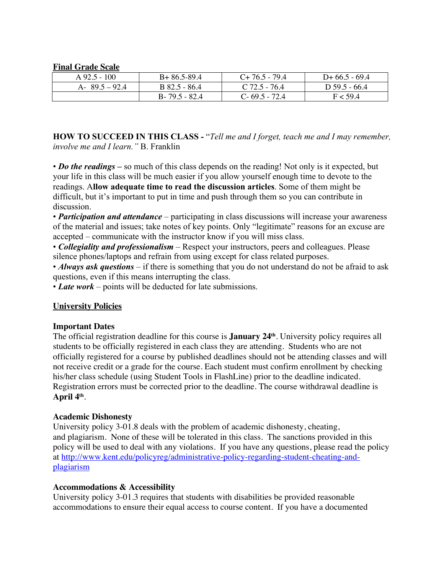#### **Final Grade Scale**

| $A\,92.5 - 100$   | $R+86.5-89.4$     | $C+76.5-79.4$     | $D+66.5-69.4$   |
|-------------------|-------------------|-------------------|-----------------|
| $A - 89.5 - 92.4$ | $B$ 82.5 - 86.4   | C 72.5 - 76.4     | $D$ 59.5 - 66.4 |
|                   | $B - 79.5 - 82.4$ | $C - 69.5 - 72.4$ | F < 59.4        |

**HOW TO SUCCEED IN THIS CLASS** *-* "*Tell me and I forget, teach me and I may remember, involve me and I learn."* B. Franklin

• *Do the readings* – so much of this class depends on the reading! Not only is it expected, but your life in this class will be much easier if you allow yourself enough time to devote to the readings. A**llow adequate time to read the discussion articles**. Some of them might be difficult, but it's important to put in time and push through them so you can contribute in discussion.

• *Participation and attendance* – participating in class discussions will increase your awareness of the material and issues; take notes of key points. Only "legitimate" reasons for an excuse are accepted – communicate with the instructor know if you will miss class.

• *Collegiality and professionalism* – Respect your instructors, peers and colleagues. Please silence phones/laptops and refrain from using except for class related purposes.

• *Always ask questions* – if there is something that you do not understand do not be afraid to ask questions, even if this means interrupting the class.

• *Late work* – points will be deducted for late submissions.

#### **University Policies**

#### **Important Dates**

The official registration deadline for this course is **January 24th**. University policy requires all students to be officially registered in each class they are attending. Students who are not officially registered for a course by published deadlines should not be attending classes and will not receive credit or a grade for the course. Each student must confirm enrollment by checking his/her class schedule (using Student Tools in FlashLine) prior to the deadline indicated. Registration errors must be corrected prior to the deadline. The course withdrawal deadline is **April 4th**.

#### **Academic Dishonesty**

University policy 3-01.8 deals with the problem of academic dishonesty, cheating, and plagiarism. None of these will be tolerated in this class. The sanctions provided in this policy will be used to deal with any violations. If you have any questions, please read the policy at http://www.kent.edu/policyreg/administrative-policy-regarding-student-cheating-andplagiarism

#### **Accommodations & Accessibility**

University policy 3-01.3 requires that students with disabilities be provided reasonable accommodations to ensure their equal access to course content. If you have a documented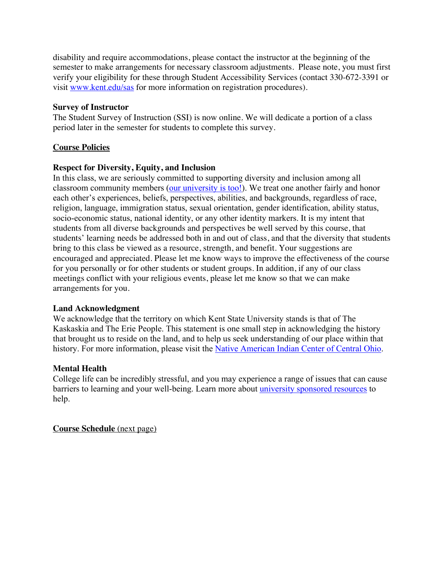disability and require accommodations, please contact the instructor at the beginning of the semester to make arrangements for necessary classroom adjustments. Please note, you must first verify your eligibility for these through Student Accessibility Services (contact 330-672-3391 or visit www.kent.edu/sas for more information on registration procedures).

### **Survey of Instructor**

The Student Survey of Instruction (SSI) is now online. We will dedicate a portion of a class period later in the semester for students to complete this survey.

# **Course Policies**

# **Respect for Diversity, Equity, and Inclusion**

In this class, we are seriously committed to supporting diversity and inclusion among all classroom community members (our university is too!). We treat one another fairly and honor each other's experiences, beliefs, perspectives, abilities, and backgrounds, regardless of race, religion, language, immigration status, sexual orientation, gender identification, ability status, socio-economic status, national identity, or any other identity markers. It is my intent that students from all diverse backgrounds and perspectives be well served by this course, that students' learning needs be addressed both in and out of class, and that the diversity that students bring to this class be viewed as a resource, strength, and benefit. Your suggestions are encouraged and appreciated. Please let me know ways to improve the effectiveness of the course for you personally or for other students or student groups. In addition, if any of our class meetings conflict with your religious events, please let me know so that we can make arrangements for you.

# **Land Acknowledgment**

We acknowledge that the territory on which Kent State University stands is that of The Kaskaskia and The Erie People. This statement is one small step in acknowledging the history that brought us to reside on the land, and to help us seek understanding of our place within that history. For more information, please visit the Native American Indian Center of Central Ohio.

# **Mental Health**

College life can be incredibly stressful, and you may experience a range of issues that can cause barriers to learning and your well-being. Learn more about university sponsored resources to help.

# **Course Schedule** (next page)